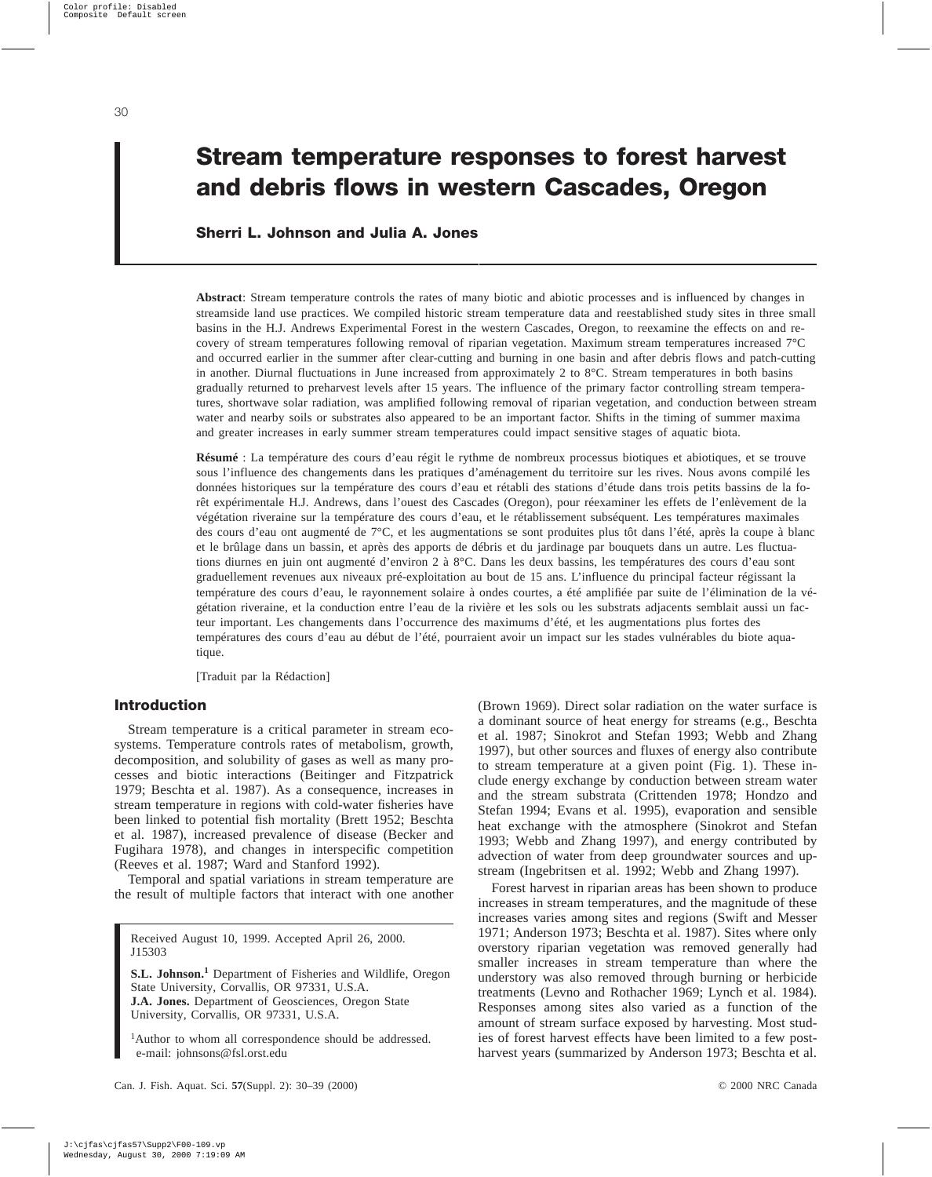# **Stream temperature responses to forest harvest and debris flows in western Cascades, Oregon**

# **Sherri L. Johnson and Julia A. Jones**

**Abstract**: Stream temperature controls the rates of many biotic and abiotic processes and is influenced by changes in streamside land use practices. We compiled historic stream temperature data and reestablished study sites in three small basins in the H.J. Andrews Experimental Forest in the western Cascades, Oregon, to reexamine the effects on and recovery of stream temperatures following removal of riparian vegetation. Maximum stream temperatures increased 7°C and occurred earlier in the summer after clear-cutting and burning in one basin and after debris flows and patch-cutting in another. Diurnal fluctuations in June increased from approximately 2 to 8°C. Stream temperatures in both basins gradually returned to preharvest levels after 15 years. The influence of the primary factor controlling stream temperatures, shortwave solar radiation, was amplified following removal of riparian vegetation, and conduction between stream water and nearby soils or substrates also appeared to be an important factor. Shifts in the timing of summer maxima and greater increases in early summer stream temperatures could impact sensitive stages of aquatic biota.

**Résumé** : La température des cours d'eau régit le rythme de nombreux processus biotiques et abiotiques, et se trouve sous l'influence des changements dans les pratiques d'aménagement du territoire sur les rives. Nous avons compilé les données historiques sur la température des cours d'eau et rétabli des stations d'étude dans trois petits bassins de la forêt expérimentale H.J. Andrews, dans l'ouest des Cascades (Oregon), pour réexaminer les effets de l'enlèvement de la végétation riveraine sur la température des cours d'eau, et le rétablissement subséquent. Les températures maximales des cours d'eau ont augmenté de 7°C, et les augmentations se sont produites plus tôt dans l'été, après la coupe à blanc et le brûlage dans un bassin, et après des apports de débris et du jardinage par bouquets dans un autre. Les fluctuations diurnes en juin ont augmenté d'environ 2 à 8°C. Dans les deux bassins, les températures des cours d'eau sont graduellement revenues aux niveaux pré-exploitation au bout de 15 ans. L'influence du principal facteur régissant la température des cours d'eau, le rayonnement solaire à ondes courtes, a été amplifiée par suite de l'élimination de la végétation riveraine, et la conduction entre l'eau de la rivière et les sols ou les substrats adjacents semblait aussi un facteur important. Les changements dans l'occurrence des maximums d'été, et les augmentations plus fortes des températures des cours d'eau au début de l'été, pourraient avoir un impact sur les stades vulnérables du biote aquatique.

[Traduit par la Rédaction]

## **Introduction**

Stream temperature is a critical parameter in stream ecosystems. Temperature controls rates of metabolism, growth, decomposition, and solubility of gases as well as many processes and biotic interactions (Beitinger and Fitzpatrick 1979; Beschta et al. 1987). As a consequence, increases in stream temperature in regions with cold-water fisheries have been linked to potential fish mortality (Brett 1952; Beschta et al. 1987), increased prevalence of disease (Becker and Fugihara 1978), and changes in interspecific competition (Reeves et al. 1987; Ward and Stanford 1992).

Temporal and spatial variations in stream temperature are the result of multiple factors that interact with one another

Received August 10, 1999. Accepted April 26, 2000. J15303

**S.L. Johnson.<sup>1</sup>** Department of Fisheries and Wildlife, Oregon State University, Corvallis, OR 97331, U.S.A. **J.A. Jones.** Department of Geosciences, Oregon State University, Corvallis, OR 97331, U.S.A.

<sup>1</sup>Author to whom all correspondence should be addressed. e-mail: johnsons@fsl.orst.edu

(Brown 1969). Direct solar radiation on the water surface is a dominant source of heat energy for streams (e.g., Beschta et al. 1987; Sinokrot and Stefan 1993; Webb and Zhang 1997), but other sources and fluxes of energy also contribute to stream temperature at a given point (Fig. 1). These include energy exchange by conduction between stream water and the stream substrata (Crittenden 1978; Hondzo and Stefan 1994; Evans et al. 1995), evaporation and sensible heat exchange with the atmosphere (Sinokrot and Stefan 1993; Webb and Zhang 1997), and energy contributed by advection of water from deep groundwater sources and upstream (Ingebritsen et al. 1992; Webb and Zhang 1997).

Forest harvest in riparian areas has been shown to produce increases in stream temperatures, and the magnitude of these increases varies among sites and regions (Swift and Messer 1971; Anderson 1973; Beschta et al. 1987). Sites where only overstory riparian vegetation was removed generally had smaller increases in stream temperature than where the understory was also removed through burning or herbicide treatments (Levno and Rothacher 1969; Lynch et al. 1984). Responses among sites also varied as a function of the amount of stream surface exposed by harvesting. Most studies of forest harvest effects have been limited to a few postharvest years (summarized by Anderson 1973; Beschta et al.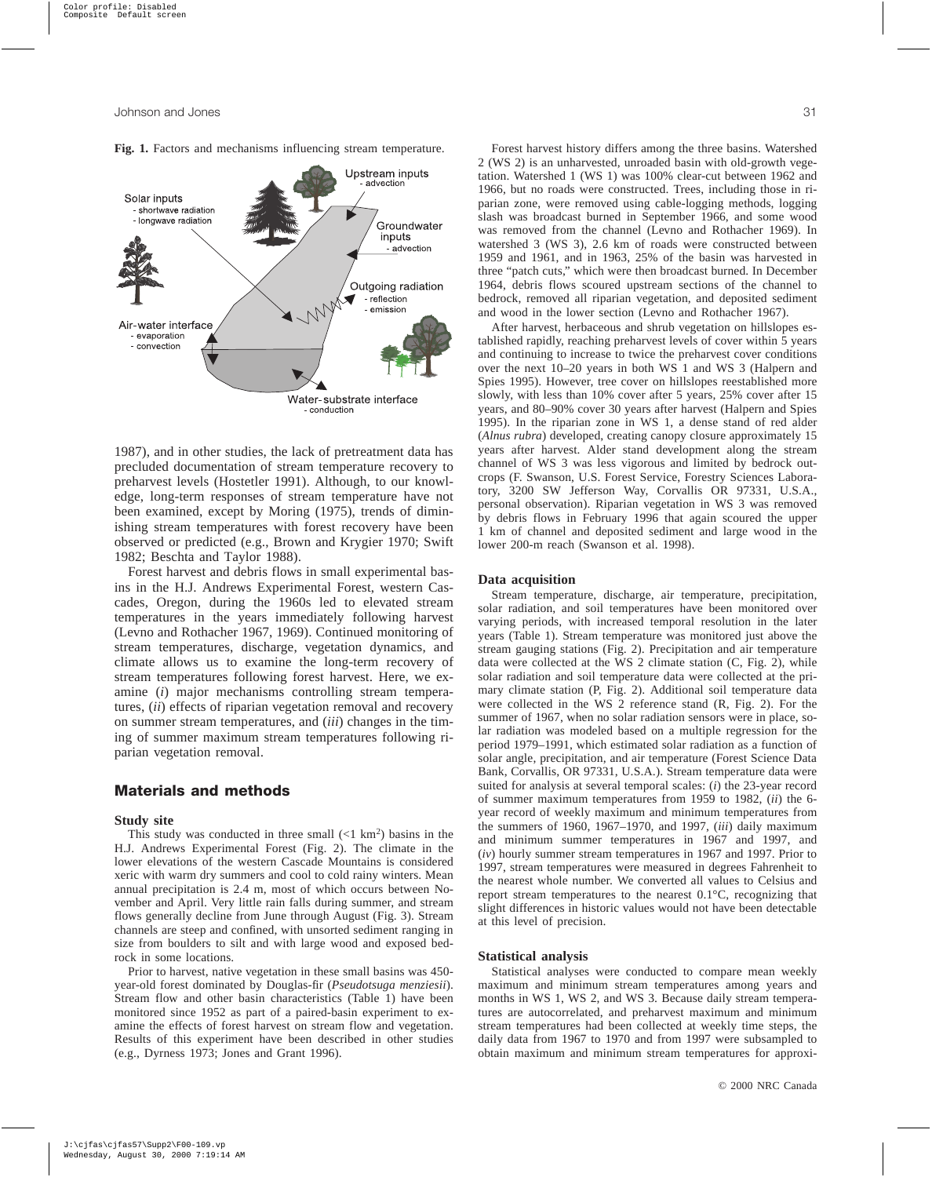

**Fig. 1.** Factors and mechanisms influencing stream temperature.

1987), and in other studies, the lack of pretreatment data has precluded documentation of stream temperature recovery to preharvest levels (Hostetler 1991). Although, to our knowledge, long-term responses of stream temperature have not been examined, except by Moring (1975), trends of diminishing stream temperatures with forest recovery have been observed or predicted (e.g., Brown and Krygier 1970; Swift 1982; Beschta and Taylor 1988).

Forest harvest and debris flows in small experimental basins in the H.J. Andrews Experimental Forest, western Cascades, Oregon, during the 1960s led to elevated stream temperatures in the years immediately following harvest (Levno and Rothacher 1967, 1969). Continued monitoring of stream temperatures, discharge, vegetation dynamics, and climate allows us to examine the long-term recovery of stream temperatures following forest harvest. Here, we examine (*i*) major mechanisms controlling stream temperatures, (*ii*) effects of riparian vegetation removal and recovery on summer stream temperatures, and (*iii*) changes in the timing of summer maximum stream temperatures following riparian vegetation removal.

# **Materials and methods**

#### **Study site**

This study was conducted in three small  $(< 1 \text{ km}^2)$  basins in the H.J. Andrews Experimental Forest (Fig. 2). The climate in the lower elevations of the western Cascade Mountains is considered xeric with warm dry summers and cool to cold rainy winters. Mean annual precipitation is 2.4 m, most of which occurs between November and April. Very little rain falls during summer, and stream flows generally decline from June through August (Fig. 3). Stream channels are steep and confined, with unsorted sediment ranging in size from boulders to silt and with large wood and exposed bedrock in some locations.

Prior to harvest, native vegetation in these small basins was 450 year-old forest dominated by Douglas-fir (*Pseudotsuga menziesii*). Stream flow and other basin characteristics (Table 1) have been monitored since 1952 as part of a paired-basin experiment to examine the effects of forest harvest on stream flow and vegetation. Results of this experiment have been described in other studies (e.g., Dyrness 1973; Jones and Grant 1996).

Forest harvest history differs among the three basins. Watershed 2 (WS 2) is an unharvested, unroaded basin with old-growth vegetation. Watershed 1 (WS 1) was 100% clear-cut between 1962 and 1966, but no roads were constructed. Trees, including those in riparian zone, were removed using cable-logging methods, logging slash was broadcast burned in September 1966, and some wood was removed from the channel (Levno and Rothacher 1969). In watershed 3 (WS 3), 2.6 km of roads were constructed between 1959 and 1961, and in 1963, 25% of the basin was harvested in three "patch cuts," which were then broadcast burned. In December 1964, debris flows scoured upstream sections of the channel to bedrock, removed all riparian vegetation, and deposited sediment and wood in the lower section (Levno and Rothacher 1967).

After harvest, herbaceous and shrub vegetation on hillslopes established rapidly, reaching preharvest levels of cover within 5 years and continuing to increase to twice the preharvest cover conditions over the next 10–20 years in both WS 1 and WS 3 (Halpern and Spies 1995). However, tree cover on hillslopes reestablished more slowly, with less than 10% cover after 5 years, 25% cover after 15 years, and 80–90% cover 30 years after harvest (Halpern and Spies 1995). In the riparian zone in WS 1, a dense stand of red alder (*Alnus rubra*) developed, creating canopy closure approximately 15 years after harvest. Alder stand development along the stream channel of WS 3 was less vigorous and limited by bedrock outcrops (F. Swanson, U.S. Forest Service, Forestry Sciences Laboratory, 3200 SW Jefferson Way, Corvallis OR 97331, U.S.A., personal observation). Riparian vegetation in WS 3 was removed by debris flows in February 1996 that again scoured the upper 1 km of channel and deposited sediment and large wood in the lower 200-m reach (Swanson et al. 1998).

#### **Data acquisition**

Stream temperature, discharge, air temperature, precipitation, solar radiation, and soil temperatures have been monitored over varying periods, with increased temporal resolution in the later years (Table 1). Stream temperature was monitored just above the stream gauging stations (Fig. 2). Precipitation and air temperature data were collected at the WS 2 climate station (C, Fig. 2), while solar radiation and soil temperature data were collected at the primary climate station (P, Fig. 2). Additional soil temperature data were collected in the WS 2 reference stand (R, Fig. 2). For the summer of 1967, when no solar radiation sensors were in place, solar radiation was modeled based on a multiple regression for the period 1979–1991, which estimated solar radiation as a function of solar angle, precipitation, and air temperature (Forest Science Data Bank, Corvallis, OR 97331, U.S.A.). Stream temperature data were suited for analysis at several temporal scales: (*i*) the 23-year record of summer maximum temperatures from 1959 to 1982, (*ii*) the 6 year record of weekly maximum and minimum temperatures from the summers of 1960, 1967–1970, and 1997, (*iii*) daily maximum and minimum summer temperatures in 1967 and 1997, and (*iv*) hourly summer stream temperatures in 1967 and 1997. Prior to 1997, stream temperatures were measured in degrees Fahrenheit to the nearest whole number. We converted all values to Celsius and report stream temperatures to the nearest 0.1°C, recognizing that slight differences in historic values would not have been detectable at this level of precision.

#### **Statistical analysis**

Statistical analyses were conducted to compare mean weekly maximum and minimum stream temperatures among years and months in WS 1, WS 2, and WS 3. Because daily stream temperatures are autocorrelated, and preharvest maximum and minimum stream temperatures had been collected at weekly time steps, the daily data from 1967 to 1970 and from 1997 were subsampled to obtain maximum and minimum stream temperatures for approxi-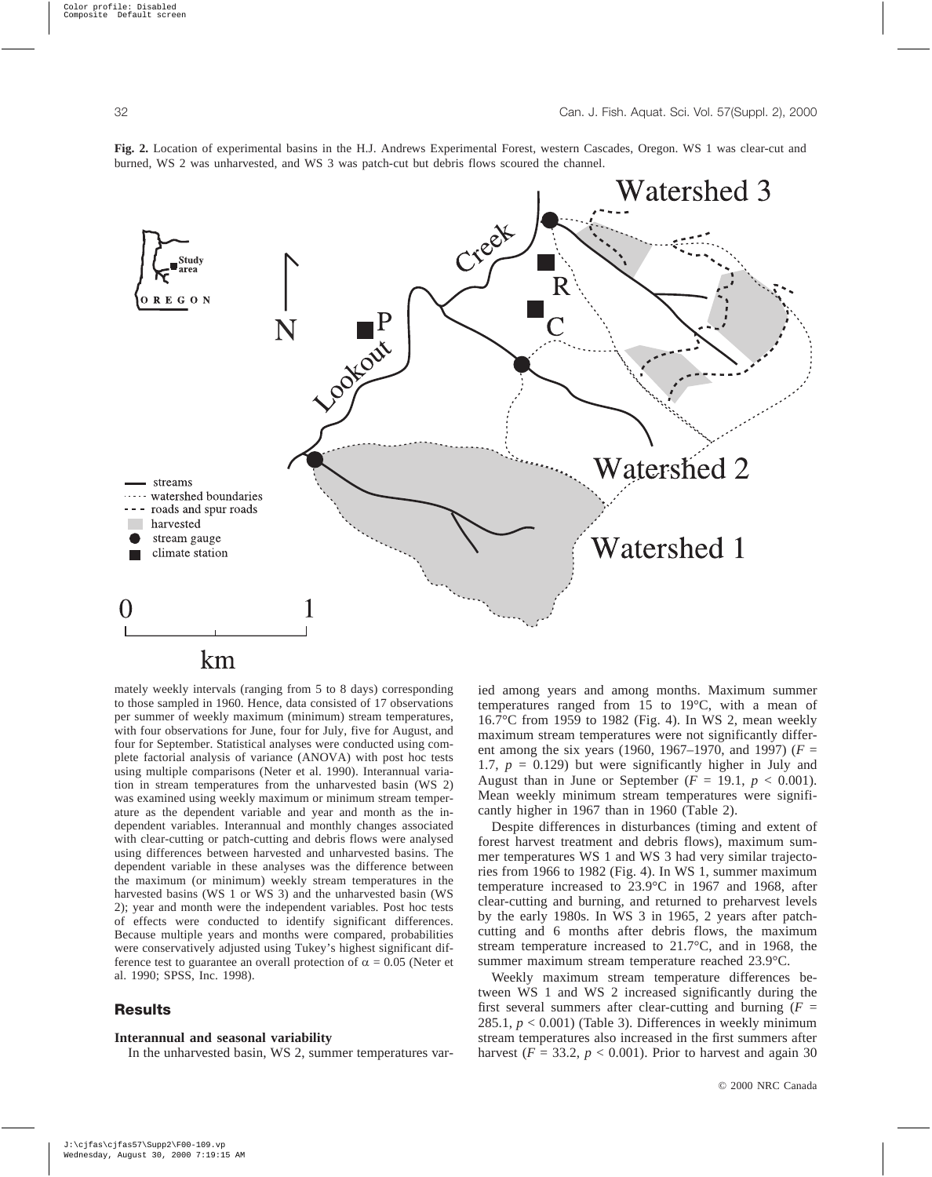

**Fig. 2.** Location of experimental basins in the H.J. Andrews Experimental Forest, western Cascades, Oregon. WS 1 was clear-cut and burned, WS 2 was unharvested, and WS 3 was patch-cut but debris flows scoured the channel.

 $km$ 

mately weekly intervals (ranging from 5 to 8 days) corresponding to those sampled in 1960. Hence, data consisted of 17 observations per summer of weekly maximum (minimum) stream temperatures, with four observations for June, four for July, five for August, and four for September. Statistical analyses were conducted using complete factorial analysis of variance (ANOVA) with post hoc tests using multiple comparisons (Neter et al. 1990). Interannual variation in stream temperatures from the unharvested basin (WS 2) was examined using weekly maximum or minimum stream temperature as the dependent variable and year and month as the independent variables. Interannual and monthly changes associated with clear-cutting or patch-cutting and debris flows were analysed using differences between harvested and unharvested basins. The dependent variable in these analyses was the difference between the maximum (or minimum) weekly stream temperatures in the harvested basins (WS 1 or WS 3) and the unharvested basin (WS 2); year and month were the independent variables. Post hoc tests of effects were conducted to identify significant differences. Because multiple years and months were compared, probabilities were conservatively adjusted using Tukey's highest significant difference test to guarantee an overall protection of  $\alpha = 0.05$  (Neter et al. 1990; SPSS, Inc. 1998).

## **Results**

#### **Interannual and seasonal variability**

In the unharvested basin, WS 2, summer temperatures var-

ied among years and among months. Maximum summer temperatures ranged from 15 to 19°C, with a mean of 16.7°C from 1959 to 1982 (Fig. 4). In WS 2, mean weekly maximum stream temperatures were not significantly different among the six years (1960, 1967–1970, and 1997) ( $F =$ 1.7,  $p = 0.129$ ) but were significantly higher in July and August than in June or September ( $F = 19.1$ ,  $p < 0.001$ ). Mean weekly minimum stream temperatures were significantly higher in 1967 than in 1960 (Table 2).

Despite differences in disturbances (timing and extent of forest harvest treatment and debris flows), maximum summer temperatures WS 1 and WS 3 had very similar trajectories from 1966 to 1982 (Fig. 4). In WS 1, summer maximum temperature increased to 23.9°C in 1967 and 1968, after clear-cutting and burning, and returned to preharvest levels by the early 1980s. In WS 3 in 1965, 2 years after patchcutting and 6 months after debris flows, the maximum stream temperature increased to 21.7°C, and in 1968, the summer maximum stream temperature reached 23.9°C.

Weekly maximum stream temperature differences between WS 1 and WS 2 increased significantly during the first several summers after clear-cutting and burning  $(F =$ 285.1,  $p < 0.001$ ) (Table 3). Differences in weekly minimum stream temperatures also increased in the first summers after harvest ( $F = 33.2$ ,  $p < 0.001$ ). Prior to harvest and again 30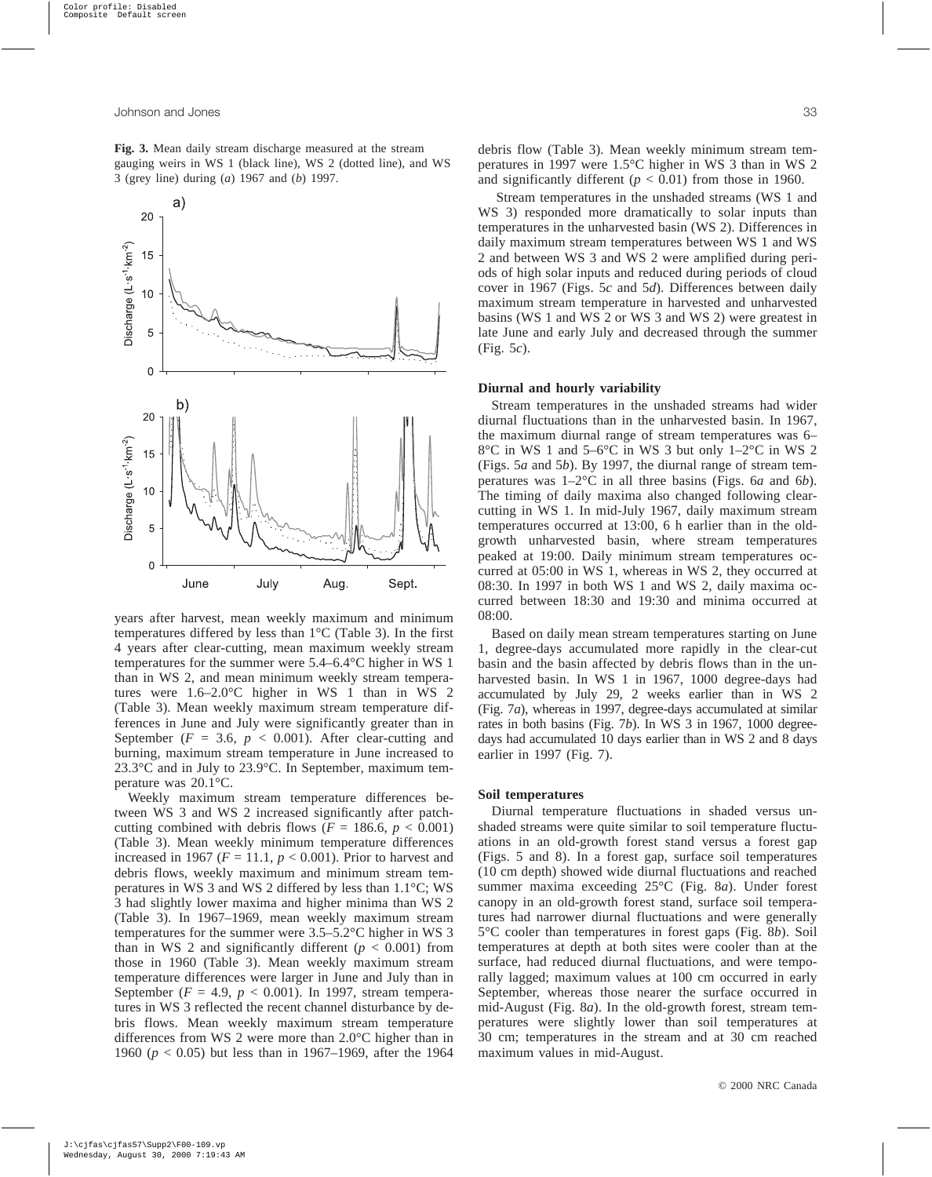a)

20

15

 $10$ 

 $\mathbf 5$ 

Discharge (L·s<sup>-1</sup>·km<sup>-2</sup>)

**Fig. 3.** Mean daily stream discharge measured at the stream gauging weirs in WS 1 (black line), WS 2 (dotted line), and WS 3 (grey line) during (*a*) 1967 and (*b*) 1997.



temperatures differed by less than 1°C (Table 3). In the first 4 years after clear-cutting, mean maximum weekly stream temperatures for the summer were 5.4–6.4°C higher in WS 1 than in WS 2, and mean minimum weekly stream temperatures were 1.6–2.0°C higher in WS 1 than in WS 2 (Table 3). Mean weekly maximum stream temperature differences in June and July were significantly greater than in September ( $F = 3.6$ ,  $p < 0.001$ ). After clear-cutting and burning, maximum stream temperature in June increased to 23.3°C and in July to 23.9°C. In September, maximum temperature was 20.1°C.

Weekly maximum stream temperature differences between WS 3 and WS 2 increased significantly after patchcutting combined with debris flows ( $F = 186.6$ ,  $p < 0.001$ ) (Table 3). Mean weekly minimum temperature differences increased in 1967 ( $F = 11.1$ ,  $p < 0.001$ ). Prior to harvest and debris flows, weekly maximum and minimum stream temperatures in WS 3 and WS 2 differed by less than 1.1°C; WS 3 had slightly lower maxima and higher minima than WS 2 (Table 3). In 1967–1969, mean weekly maximum stream temperatures for the summer were 3.5–5.2°C higher in WS 3 than in WS 2 and significantly different  $(p < 0.001)$  from those in 1960 (Table 3). Mean weekly maximum stream temperature differences were larger in June and July than in September ( $F = 4.9$ ,  $p < 0.001$ ). In 1997, stream temperatures in WS 3 reflected the recent channel disturbance by debris flows. Mean weekly maximum stream temperature differences from WS 2 were more than 2.0°C higher than in 1960 (*p* < 0.05) but less than in 1967–1969, after the 1964

Stream temperatures in the unshaded streams (WS 1 and WS 3) responded more dramatically to solar inputs than temperatures in the unharvested basin (WS 2). Differences in daily maximum stream temperatures between WS 1 and WS 2 and between WS 3 and WS 2 were amplified during periods of high solar inputs and reduced during periods of cloud cover in 1967 (Figs. 5*c* and 5*d*). Differences between daily maximum stream temperature in harvested and unharvested basins (WS 1 and WS 2 or WS 3 and WS 2) were greatest in late June and early July and decreased through the summer (Fig. 5*c*).

#### **Diurnal and hourly variability**

Stream temperatures in the unshaded streams had wider diurnal fluctuations than in the unharvested basin. In 1967, the maximum diurnal range of stream temperatures was 6– 8°C in WS 1 and 5–6°C in WS 3 but only 1–2°C in WS 2 (Figs. 5*a* and 5*b*). By 1997, the diurnal range of stream temperatures was 1–2°C in all three basins (Figs. 6*a* and 6*b*). The timing of daily maxima also changed following clearcutting in WS 1. In mid-July 1967, daily maximum stream temperatures occurred at 13:00, 6 h earlier than in the oldgrowth unharvested basin, where stream temperatures peaked at 19:00. Daily minimum stream temperatures occurred at 05:00 in WS 1, whereas in WS 2, they occurred at 08:30. In 1997 in both WS 1 and WS 2, daily maxima occurred between 18:30 and 19:30 and minima occurred at 08:00.

Based on daily mean stream temperatures starting on June 1, degree-days accumulated more rapidly in the clear-cut basin and the basin affected by debris flows than in the unharvested basin. In WS 1 in 1967, 1000 degree-days had accumulated by July 29, 2 weeks earlier than in WS 2 (Fig. 7*a*), whereas in 1997, degree-days accumulated at similar rates in both basins (Fig. 7*b*). In WS 3 in 1967, 1000 degreedays had accumulated 10 days earlier than in WS 2 and 8 days earlier in 1997 (Fig. 7).

#### **Soil temperatures**

Diurnal temperature fluctuations in shaded versus unshaded streams were quite similar to soil temperature fluctuations in an old-growth forest stand versus a forest gap (Figs. 5 and 8). In a forest gap, surface soil temperatures (10 cm depth) showed wide diurnal fluctuations and reached summer maxima exceeding 25°C (Fig. 8*a*). Under forest canopy in an old-growth forest stand, surface soil temperatures had narrower diurnal fluctuations and were generally 5°C cooler than temperatures in forest gaps (Fig. 8*b*). Soil temperatures at depth at both sites were cooler than at the surface, had reduced diurnal fluctuations, and were temporally lagged; maximum values at 100 cm occurred in early September, whereas those nearer the surface occurred in mid-August (Fig. 8*a*). In the old-growth forest, stream temperatures were slightly lower than soil temperatures at 30 cm; temperatures in the stream and at 30 cm reached maximum values in mid-August.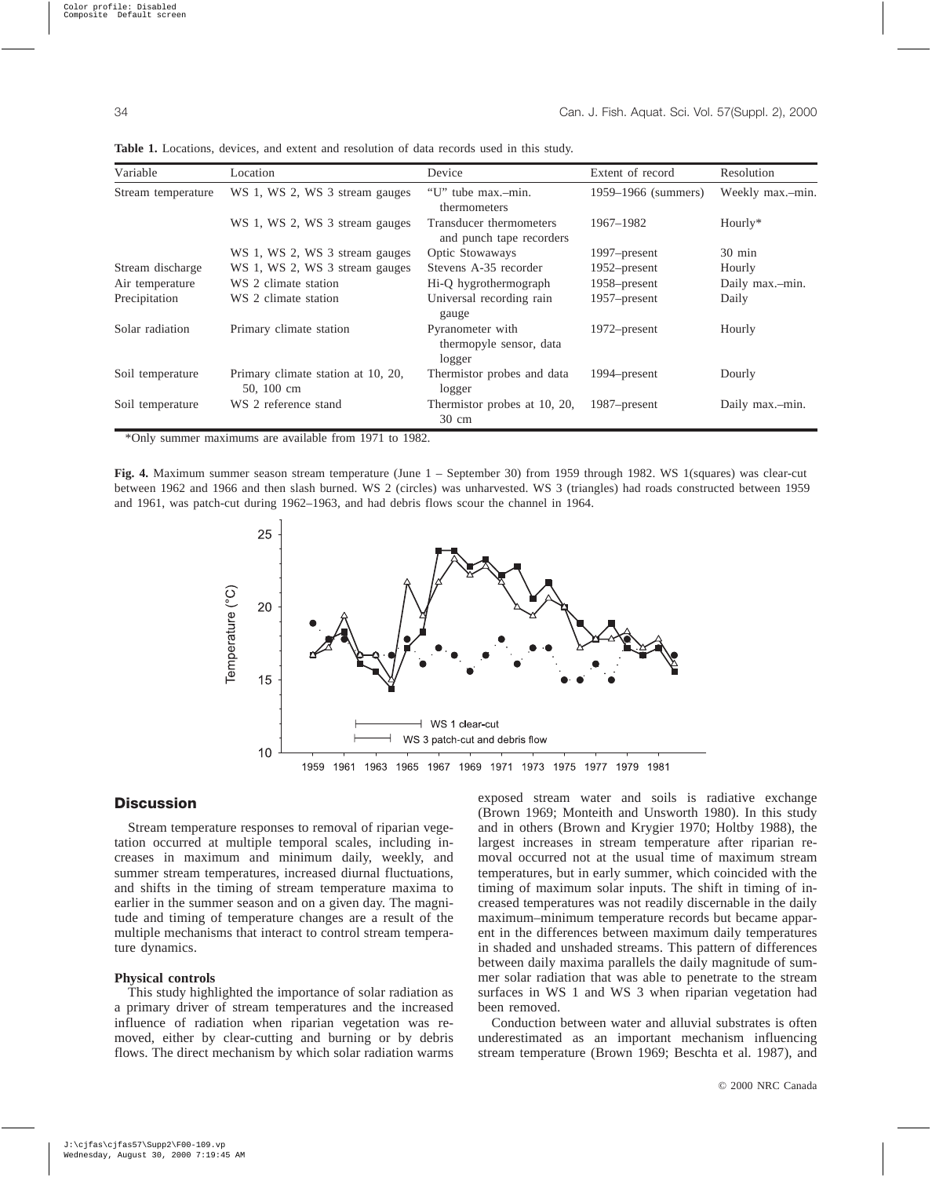| Variable           | Location                                         | Device                                                | Extent of record    | Resolution       |
|--------------------|--------------------------------------------------|-------------------------------------------------------|---------------------|------------------|
| Stream temperature | WS 1, WS 2, WS 3 stream gauges                   | "U" tube max.-min.<br>thermometers                    | 1959–1966 (summers) | Weekly max.-min. |
|                    | WS 1, WS 2, WS 3 stream gauges                   | Transducer thermometers<br>and punch tape recorders   | 1967–1982           | $Hourly*$        |
|                    | WS 1, WS 2, WS 3 stream gauges                   | Optic Stowaways                                       | 1997–present        | $30 \text{ min}$ |
| Stream discharge   | WS 1, WS 2, WS 3 stream gauges                   | Stevens A-35 recorder                                 | $1952$ -present     | Hourly           |
| Air temperature    | WS 2 climate station                             | Hi-Q hygrothermograph                                 | $1958$ -present     | Daily max.-min.  |
| Precipitation      | WS 2 climate station                             | Universal recording rain<br>gauge                     | 1957–present        | Daily            |
| Solar radiation    | Primary climate station                          | Pyranometer with<br>thermopyle sensor, data<br>logger | $1972$ -present     | Hourly           |
| Soil temperature   | Primary climate station at 10, 20,<br>50, 100 cm | Thermistor probes and data<br>logger                  | 1994–present        | Dourly           |
| Soil temperature   | WS 2 reference stand                             | Thermistor probes at 10, 20,<br>$30 \text{ cm}$       | 1987–present        | Daily max.-min.  |

**Table 1.** Locations, devices, and extent and resolution of data records used in this study.

\*Only summer maximums are available from 1971 to 1982.

**Fig. 4.** Maximum summer season stream temperature (June 1 – September 30) from 1959 through 1982. WS 1(squares) was clear-cut between 1962 and 1966 and then slash burned. WS 2 (circles) was unharvested. WS 3 (triangles) had roads constructed between 1959 and 1961, was patch-cut during 1962–1963, and had debris flows scour the channel in 1964.



## **Discussion**

Stream temperature responses to removal of riparian vegetation occurred at multiple temporal scales, including increases in maximum and minimum daily, weekly, and summer stream temperatures, increased diurnal fluctuations, and shifts in the timing of stream temperature maxima to earlier in the summer season and on a given day. The magnitude and timing of temperature changes are a result of the multiple mechanisms that interact to control stream temperature dynamics.

## **Physical controls**

This study highlighted the importance of solar radiation as a primary driver of stream temperatures and the increased influence of radiation when riparian vegetation was removed, either by clear-cutting and burning or by debris flows. The direct mechanism by which solar radiation warms exposed stream water and soils is radiative exchange (Brown 1969; Monteith and Unsworth 1980). In this study and in others (Brown and Krygier 1970; Holtby 1988), the largest increases in stream temperature after riparian removal occurred not at the usual time of maximum stream temperatures, but in early summer, which coincided with the timing of maximum solar inputs. The shift in timing of increased temperatures was not readily discernable in the daily maximum–minimum temperature records but became apparent in the differences between maximum daily temperatures in shaded and unshaded streams. This pattern of differences between daily maxima parallels the daily magnitude of summer solar radiation that was able to penetrate to the stream surfaces in WS 1 and WS 3 when riparian vegetation had been removed.

Conduction between water and alluvial substrates is often underestimated as an important mechanism influencing stream temperature (Brown 1969; Beschta et al. 1987), and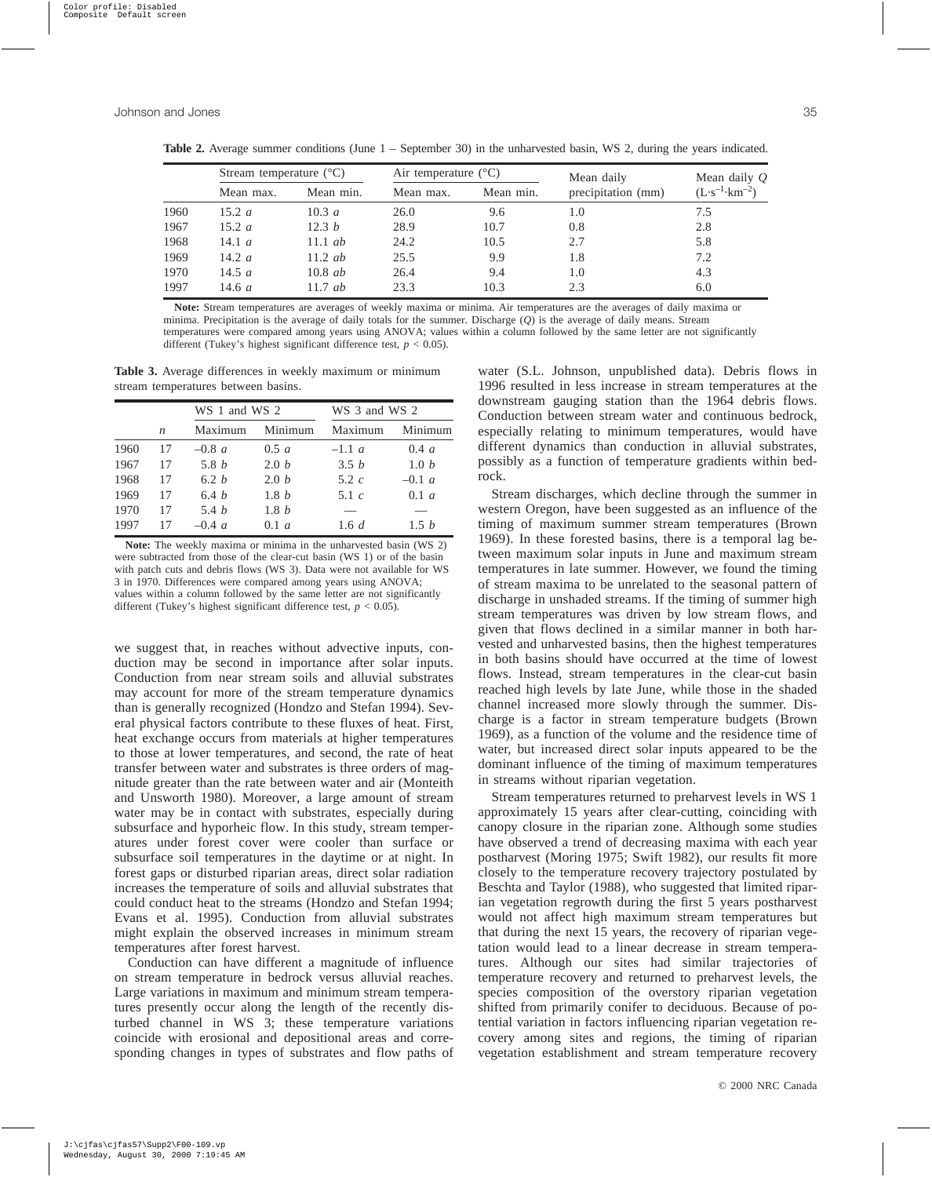| s,           |
|--------------|
| I<br>×<br>۰. |

|      | Stream temperature $(^{\circ}C)$ |           | Air temperature $(^{\circ}C)$ |           | Mean daily         | Mean daily $Q$                   |
|------|----------------------------------|-----------|-------------------------------|-----------|--------------------|----------------------------------|
|      | Mean max.                        | Mean min. | Mean max.                     | Mean min. | precipitation (mm) | $(L \cdot s^{-1} \cdot km^{-2})$ |
| 1960 | $15.2\ a$                        | 10.3 a    | 26.0                          | 9.6       | 1.0                | 7.5                              |
| 1967 | $15.2\ a$                        | 12.3 b    | 28.9                          | 10.7      | 0.8                | 2.8                              |
| 1968 | 14.1 $a$                         | 11.1 $ab$ | 24.2                          | 10.5      | 2.7                | 5.8                              |
| 1969 | 14.2 $a$                         | $11.2$ ab | 25.5                          | 9.9       | 1.8                | 7.2                              |
| 1970 | 14.5 $a$                         | $10.8$ ab | 26.4                          | 9.4       | 1.0                | 4.3                              |
| 1997 | 14.6 $a$                         | 11.7 $ab$ | 23.3                          | 10.3      | 2.3                | 6.0                              |

**Table 2.** Average summer conditions (June 1 – September 30) in the unharvested basin, WS 2, during the years indicated.

**Note:** Stream temperatures are averages of weekly maxima or minima. Air temperatures are the averages of daily maxima or

minima. Precipitation is the average of daily totals for the summer. Discharge (*Q*) is the average of daily means. Stream

temperatures were compared among years using ANOVA; values within a column followed by the same letter are not significantly different (Tukey's highest significant difference test,  $p < 0.05$ ).

**Table 3.** Average differences in weekly maximum or minimum stream temperatures between basins.

|      |                  |              | WS 1 and WS 2 |          | WS 3 and WS 2 |  |
|------|------------------|--------------|---------------|----------|---------------|--|
|      | $\boldsymbol{n}$ | Maximum      | Minimum       | Maximum  | Minimum       |  |
| 1960 | 17               | $-0.8 a$     | 0.5 a         | $-1.1 a$ | 0.4 a         |  |
| 1967 | 17               | 5.8 <i>b</i> | 2.0h          | 3.5 b    | 1.0 h         |  |
| 1968 | 17               | 6.2h         | 2.0h          | $5.2\ c$ | $-0.1 a$      |  |
| 1969 | 17               | 6.4h         | 1.8h          | 5.1 $c$  | 0.1 a         |  |
| 1970 | 17               | 5.4h         | 1.8 b         |          |               |  |
| 1997 | 17               | $-0.4 a$     | 0.1 a         | 1.6 d    | 1.5h          |  |

**Note:** The weekly maxima or minima in the unharvested basin (WS 2) were subtracted from those of the clear-cut basin (WS 1) or of the basin with patch cuts and debris flows (WS 3). Data were not available for WS 3 in 1970. Differences were compared among years using ANOVA; values within a column followed by the same letter are not significantly different (Tukey's highest significant difference test,  $p < 0.05$ ).

we suggest that, in reaches without advective inputs, conduction may be second in importance after solar inputs. Conduction from near stream soils and alluvial substrates may account for more of the stream temperature dynamics than is generally recognized (Hondzo and Stefan 1994). Several physical factors contribute to these fluxes of heat. First, heat exchange occurs from materials at higher temperatures to those at lower temperatures, and second, the rate of heat transfer between water and substrates is three orders of magnitude greater than the rate between water and air (Monteith and Unsworth 1980). Moreover, a large amount of stream water may be in contact with substrates, especially during subsurface and hyporheic flow. In this study, stream temperatures under forest cover were cooler than surface or subsurface soil temperatures in the daytime or at night. In forest gaps or disturbed riparian areas, direct solar radiation increases the temperature of soils and alluvial substrates that could conduct heat to the streams (Hondzo and Stefan 1994; Evans et al. 1995). Conduction from alluvial substrates might explain the observed increases in minimum stream temperatures after forest harvest.

Conduction can have different a magnitude of influence on stream temperature in bedrock versus alluvial reaches. Large variations in maximum and minimum stream temperatures presently occur along the length of the recently disturbed channel in WS 3; these temperature variations coincide with erosional and depositional areas and corresponding changes in types of substrates and flow paths of water (S.L. Johnson, unpublished data). Debris flows in 1996 resulted in less increase in stream temperatures at the downstream gauging station than the 1964 debris flows. Conduction between stream water and continuous bedrock, especially relating to minimum temperatures, would have different dynamics than conduction in alluvial substrates, possibly as a function of temperature gradients within bedrock.

Stream discharges, which decline through the summer in western Oregon, have been suggested as an influence of the timing of maximum summer stream temperatures (Brown 1969). In these forested basins, there is a temporal lag between maximum solar inputs in June and maximum stream temperatures in late summer. However, we found the timing of stream maxima to be unrelated to the seasonal pattern of discharge in unshaded streams. If the timing of summer high stream temperatures was driven by low stream flows, and given that flows declined in a similar manner in both harvested and unharvested basins, then the highest temperatures in both basins should have occurred at the time of lowest flows. Instead, stream temperatures in the clear-cut basin reached high levels by late June, while those in the shaded channel increased more slowly through the summer. Discharge is a factor in stream temperature budgets (Brown 1969), as a function of the volume and the residence time of water, but increased direct solar inputs appeared to be the dominant influence of the timing of maximum temperatures in streams without riparian vegetation.

Stream temperatures returned to preharvest levels in WS 1 approximately 15 years after clear-cutting, coinciding with canopy closure in the riparian zone. Although some studies have observed a trend of decreasing maxima with each year postharvest (Moring 1975; Swift 1982), our results fit more closely to the temperature recovery trajectory postulated by Beschta and Taylor (1988), who suggested that limited riparian vegetation regrowth during the first 5 years postharvest would not affect high maximum stream temperatures but that during the next 15 years, the recovery of riparian vegetation would lead to a linear decrease in stream temperatures. Although our sites had similar trajectories of temperature recovery and returned to preharvest levels, the species composition of the overstory riparian vegetation shifted from primarily conifer to deciduous. Because of potential variation in factors influencing riparian vegetation recovery among sites and regions, the timing of riparian vegetation establishment and stream temperature recovery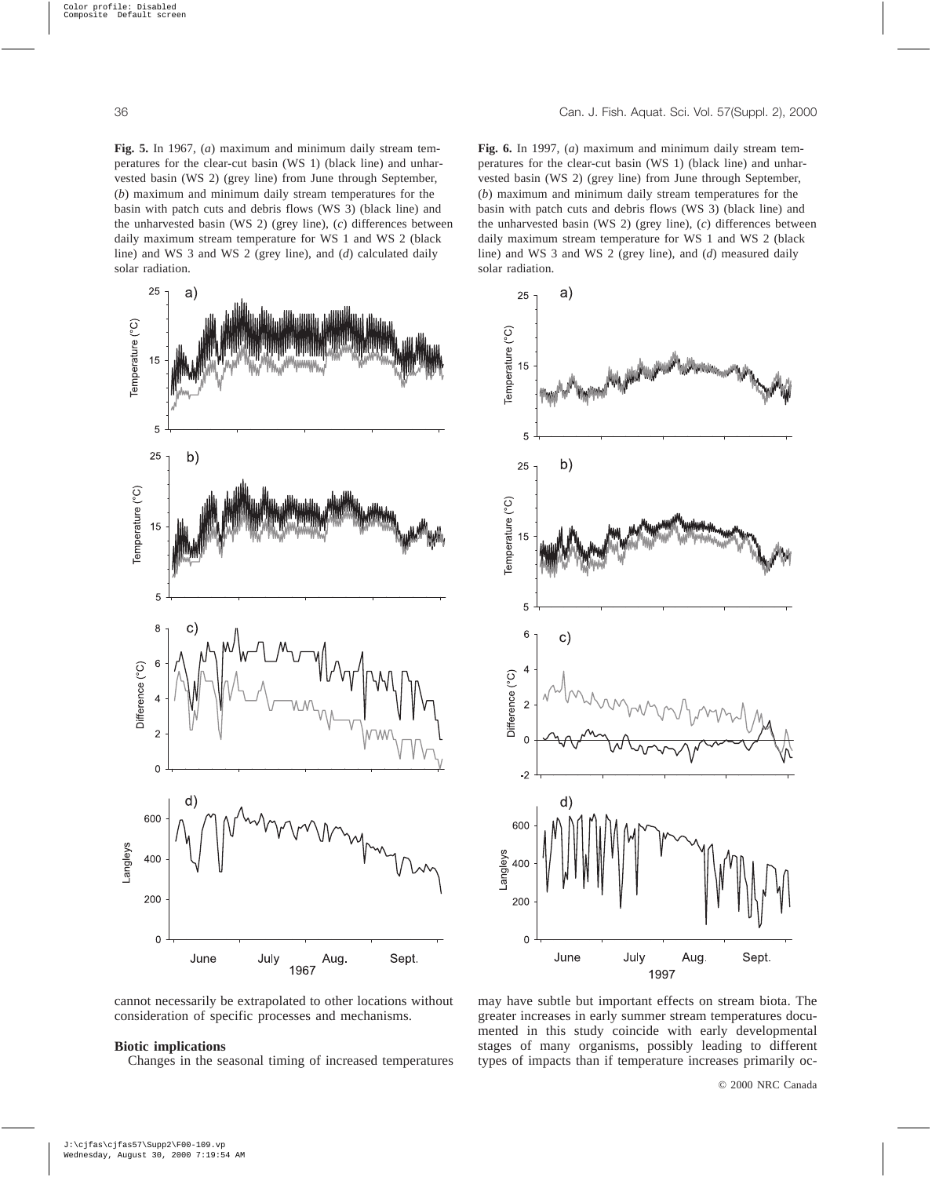**Fig. 5.** In 1967, (*a*) maximum and minimum daily stream temperatures for the clear-cut basin (WS 1) (black line) and unharvested basin (WS 2) (grey line) from June through September, (*b*) maximum and minimum daily stream temperatures for the basin with patch cuts and debris flows (WS 3) (black line) and the unharvested basin (WS 2) (grey line), (*c*) differences between daily maximum stream temperature for WS 1 and WS 2 (black line) and WS 3 and WS 2 (grey line), and (*d*) calculated daily solar radiation.



**Fig. 6.** In 1997, (*a*) maximum and minimum daily stream temperatures for the clear-cut basin (WS 1) (black line) and unharvested basin (WS 2) (grey line) from June through September, (*b*) maximum and minimum daily stream temperatures for the basin with patch cuts and debris flows (WS 3) (black line) and the unharvested basin (WS 2) (grey line), (*c*) differences between daily maximum stream temperature for WS 1 and WS 2 (black line) and WS 3 and WS 2 (grey line), and (*d*) measured daily solar radiation.



cannot necessarily be extrapolated to other locations without consideration of specific processes and mechanisms.

## **Biotic implications**

Changes in the seasonal timing of increased temperatures

may have subtle but important effects on stream biota. The greater increases in early summer stream temperatures documented in this study coincide with early developmental stages of many organisms, possibly leading to different types of impacts than if temperature increases primarily oc-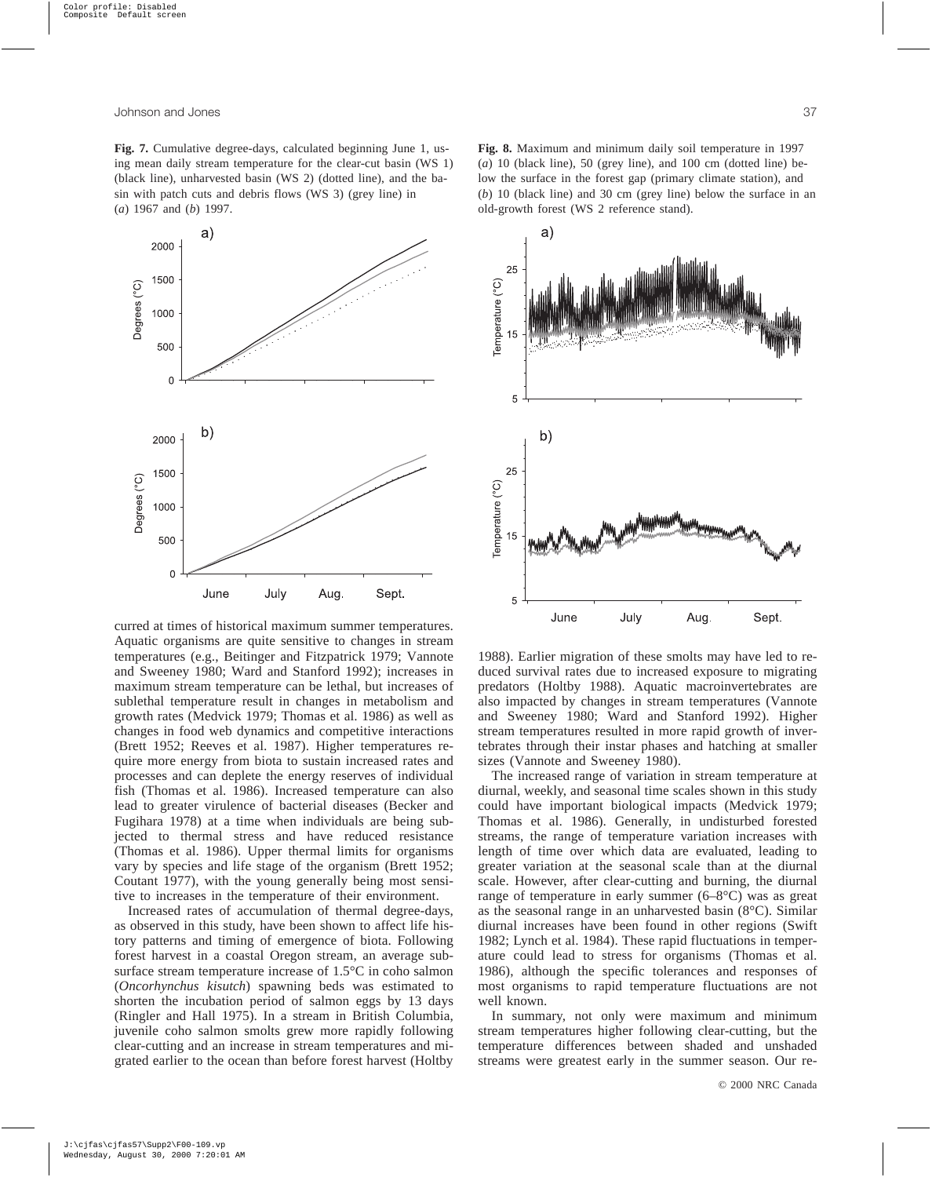**Fig. 7.** Cumulative degree-days, calculated beginning June 1, using mean daily stream temperature for the clear-cut basin (WS 1) (black line), unharvested basin (WS 2) (dotted line), and the basin with patch cuts and debris flows (WS 3) (grey line) in (*a*) 1967 and (*b*) 1997.



curred at times of historical maximum summer temperatures. Aquatic organisms are quite sensitive to changes in stream temperatures (e.g., Beitinger and Fitzpatrick 1979; Vannote and Sweeney 1980; Ward and Stanford 1992); increases in maximum stream temperature can be lethal, but increases of sublethal temperature result in changes in metabolism and growth rates (Medvick 1979; Thomas et al. 1986) as well as changes in food web dynamics and competitive interactions (Brett 1952; Reeves et al. 1987). Higher temperatures require more energy from biota to sustain increased rates and processes and can deplete the energy reserves of individual fish (Thomas et al. 1986). Increased temperature can also lead to greater virulence of bacterial diseases (Becker and Fugihara 1978) at a time when individuals are being subjected to thermal stress and have reduced resistance (Thomas et al. 1986). Upper thermal limits for organisms vary by species and life stage of the organism (Brett 1952; Coutant 1977), with the young generally being most sensitive to increases in the temperature of their environment.

Increased rates of accumulation of thermal degree-days, as observed in this study, have been shown to affect life history patterns and timing of emergence of biota. Following forest harvest in a coastal Oregon stream, an average subsurface stream temperature increase of 1.5°C in coho salmon (*Oncorhynchus kisutch*) spawning beds was estimated to shorten the incubation period of salmon eggs by 13 days (Ringler and Hall 1975). In a stream in British Columbia, juvenile coho salmon smolts grew more rapidly following clear-cutting and an increase in stream temperatures and migrated earlier to the ocean than before forest harvest (Holtby

**Fig. 8.** Maximum and minimum daily soil temperature in 1997 (*a*) 10 (black line), 50 (grey line), and 100 cm (dotted line) below the surface in the forest gap (primary climate station), and (*b*) 10 (black line) and 30 cm (grey line) below the surface in an old-growth forest (WS 2 reference stand).



1988). Earlier migration of these smolts may have led to reduced survival rates due to increased exposure to migrating predators (Holtby 1988). Aquatic macroinvertebrates are also impacted by changes in stream temperatures (Vannote and Sweeney 1980; Ward and Stanford 1992). Higher stream temperatures resulted in more rapid growth of invertebrates through their instar phases and hatching at smaller sizes (Vannote and Sweeney 1980).

The increased range of variation in stream temperature at diurnal, weekly, and seasonal time scales shown in this study could have important biological impacts (Medvick 1979; Thomas et al. 1986). Generally, in undisturbed forested streams, the range of temperature variation increases with length of time over which data are evaluated, leading to greater variation at the seasonal scale than at the diurnal scale. However, after clear-cutting and burning, the diurnal range of temperature in early summer (6–8°C) was as great as the seasonal range in an unharvested basin (8°C). Similar diurnal increases have been found in other regions (Swift 1982; Lynch et al. 1984). These rapid fluctuations in temperature could lead to stress for organisms (Thomas et al. 1986), although the specific tolerances and responses of most organisms to rapid temperature fluctuations are not well known.

In summary, not only were maximum and minimum stream temperatures higher following clear-cutting, but the temperature differences between shaded and unshaded streams were greatest early in the summer season. Our re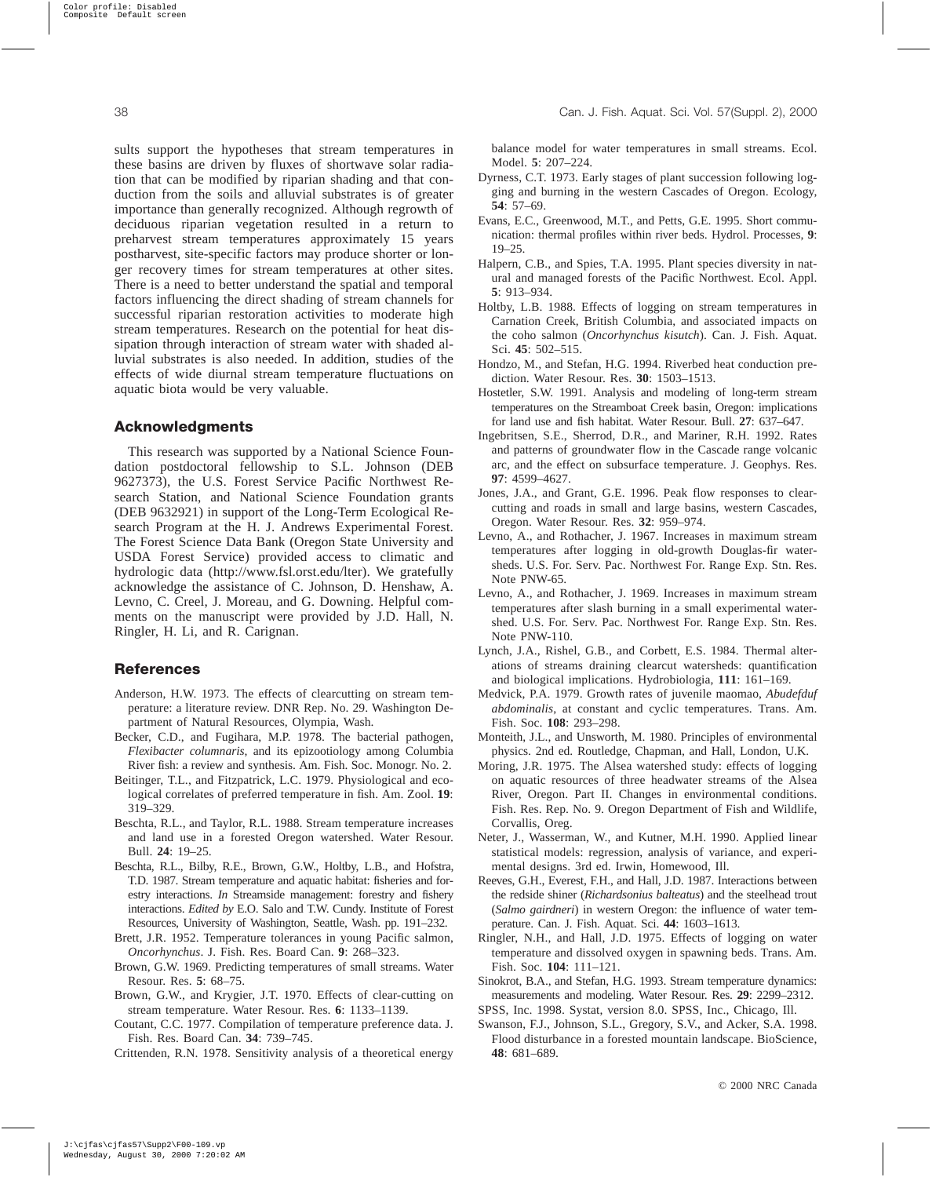sults support the hypotheses that stream temperatures in these basins are driven by fluxes of shortwave solar radiation that can be modified by riparian shading and that conduction from the soils and alluvial substrates is of greater importance than generally recognized. Although regrowth of deciduous riparian vegetation resulted in a return to preharvest stream temperatures approximately 15 years postharvest, site-specific factors may produce shorter or longer recovery times for stream temperatures at other sites. There is a need to better understand the spatial and temporal factors influencing the direct shading of stream channels for successful riparian restoration activities to moderate high stream temperatures. Research on the potential for heat dissipation through interaction of stream water with shaded alluvial substrates is also needed. In addition, studies of the effects of wide diurnal stream temperature fluctuations on aquatic biota would be very valuable.

## **Acknowledgments**

This research was supported by a National Science Foundation postdoctoral fellowship to S.L. Johnson (DEB 9627373), the U.S. Forest Service Pacific Northwest Research Station, and National Science Foundation grants (DEB 9632921) in support of the Long-Term Ecological Research Program at the H. J. Andrews Experimental Forest. The Forest Science Data Bank (Oregon State University and USDA Forest Service) provided access to climatic and hydrologic data (http://www.fsl.orst.edu/lter). We gratefully acknowledge the assistance of C. Johnson, D. Henshaw, A. Levno, C. Creel, J. Moreau, and G. Downing. Helpful comments on the manuscript were provided by J.D. Hall, N. Ringler, H. Li, and R. Carignan.

# **References**

- Anderson, H.W. 1973. The effects of clearcutting on stream temperature: a literature review. DNR Rep. No. 29. Washington Department of Natural Resources, Olympia, Wash.
- Becker, C.D., and Fugihara, M.P. 1978. The bacterial pathogen, *Flexibacter columnaris*, and its epizootiology among Columbia River fish: a review and synthesis. Am. Fish. Soc. Monogr. No. 2.
- Beitinger, T.L., and Fitzpatrick, L.C. 1979. Physiological and ecological correlates of preferred temperature in fish. Am. Zool. **19**: 319–329.
- Beschta, R.L., and Taylor, R.L. 1988. Stream temperature increases and land use in a forested Oregon watershed. Water Resour. Bull. **24**: 19–25.
- Beschta, R.L., Bilby, R.E., Brown, G.W., Holtby, L.B., and Hofstra, T.D. 1987. Stream temperature and aquatic habitat: fisheries and forestry interactions. *In* Streamside management: forestry and fishery interactions. *Edited by* E.O. Salo and T.W. Cundy. Institute of Forest Resources, University of Washington, Seattle, Wash. pp. 191–232.
- Brett, J.R. 1952. Temperature tolerances in young Pacific salmon, *Oncorhynchus*. J. Fish. Res. Board Can. **9**: 268–323.
- Brown, G.W. 1969. Predicting temperatures of small streams. Water Resour. Res. **5**: 68–75.
- Brown, G.W., and Krygier, J.T. 1970. Effects of clear-cutting on stream temperature. Water Resour. Res. **6**: 1133–1139.
- Coutant, C.C. 1977. Compilation of temperature preference data. J. Fish. Res. Board Can. **34**: 739–745.

Crittenden, R.N. 1978. Sensitivity analysis of a theoretical energy

balance model for water temperatures in small streams. Ecol. Model. **5**: 207–224.

- Dyrness, C.T. 1973. Early stages of plant succession following logging and burning in the western Cascades of Oregon. Ecology, **54**: 57–69.
- Evans, E.C., Greenwood, M.T., and Petts, G.E. 1995. Short communication: thermal profiles within river beds. Hydrol. Processes, **9**: 19–25.
- Halpern, C.B., and Spies, T.A. 1995. Plant species diversity in natural and managed forests of the Pacific Northwest. Ecol. Appl. **5**: 913–934.
- Holtby, L.B. 1988. Effects of logging on stream temperatures in Carnation Creek, British Columbia, and associated impacts on the coho salmon (*Oncorhynchus kisutch*). Can. J. Fish. Aquat. Sci. **45**: 502–515.
- Hondzo, M., and Stefan, H.G. 1994. Riverbed heat conduction prediction. Water Resour. Res. **30**: 1503–1513.
- Hostetler, S.W. 1991. Analysis and modeling of long-term stream temperatures on the Streamboat Creek basin, Oregon: implications for land use and fish habitat. Water Resour. Bull. **27**: 637–647.
- Ingebritsen, S.E., Sherrod, D.R., and Mariner, R.H. 1992. Rates and patterns of groundwater flow in the Cascade range volcanic arc, and the effect on subsurface temperature. J. Geophys. Res. **97**: 4599–4627.
- Jones, J.A., and Grant, G.E. 1996. Peak flow responses to clearcutting and roads in small and large basins, western Cascades, Oregon. Water Resour. Res. **32**: 959–974.
- Levno, A., and Rothacher, J. 1967. Increases in maximum stream temperatures after logging in old-growth Douglas-fir watersheds. U.S. For. Serv. Pac. Northwest For. Range Exp. Stn. Res. Note PNW-65.
- Levno, A., and Rothacher, J. 1969. Increases in maximum stream temperatures after slash burning in a small experimental watershed. U.S. For. Serv. Pac. Northwest For. Range Exp. Stn. Res. Note PNW-110.
- Lynch, J.A., Rishel, G.B., and Corbett, E.S. 1984. Thermal alterations of streams draining clearcut watersheds: quantification and biological implications. Hydrobiologia, **111**: 161–169.
- Medvick, P.A. 1979. Growth rates of juvenile maomao, *Abudefduf abdominalis*, at constant and cyclic temperatures. Trans. Am. Fish. Soc. **108**: 293–298.
- Monteith, J.L., and Unsworth, M. 1980. Principles of environmental physics. 2nd ed. Routledge, Chapman, and Hall, London, U.K.
- Moring, J.R. 1975. The Alsea watershed study: effects of logging on aquatic resources of three headwater streams of the Alsea River, Oregon. Part II. Changes in environmental conditions. Fish. Res. Rep. No. 9. Oregon Department of Fish and Wildlife, Corvallis, Oreg.
- Neter, J., Wasserman, W., and Kutner, M.H. 1990. Applied linear statistical models: regression, analysis of variance, and experimental designs. 3rd ed. Irwin, Homewood, Ill.
- Reeves, G.H., Everest, F.H., and Hall, J.D. 1987. Interactions between the redside shiner (*Richardsonius balteatus*) and the steelhead trout (*Salmo gairdneri*) in western Oregon: the influence of water temperature. Can. J. Fish. Aquat. Sci. **44**: 1603–1613.
- Ringler, N.H., and Hall, J.D. 1975. Effects of logging on water temperature and dissolved oxygen in spawning beds. Trans. Am. Fish. Soc. **104**: 111–121.
- Sinokrot, B.A., and Stefan, H.G. 1993. Stream temperature dynamics: measurements and modeling. Water Resour. Res. **29**: 2299–2312.
- SPSS, Inc. 1998. Systat, version 8.0. SPSS, Inc., Chicago, Ill.
- Swanson, F.J., Johnson, S.L., Gregory, S.V., and Acker, S.A. 1998. Flood disturbance in a forested mountain landscape. BioScience, **48**: 681–689.